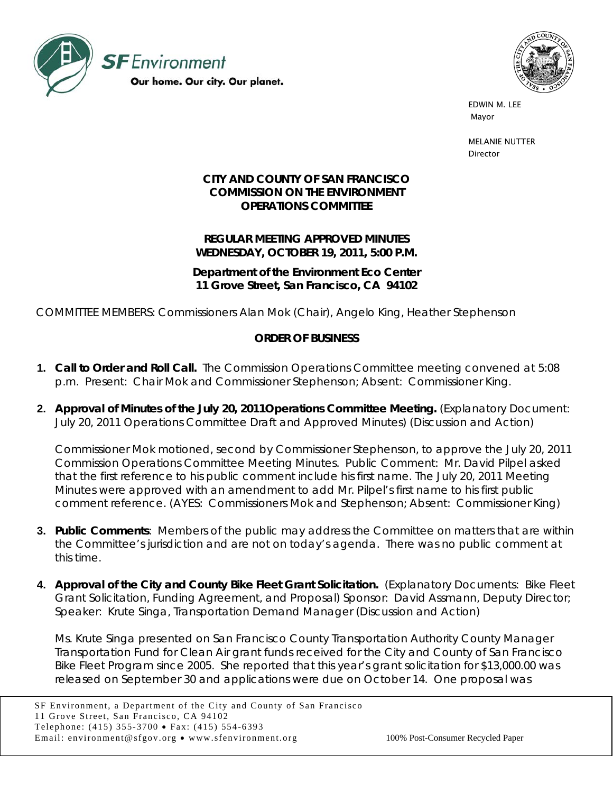



 EDWIN M. LEE mayor that is a state of the state of the state of the state of the state of the state of the state of the state of the state of the state of the state of the state of the state of the state of the state of the state of th

> MELANIE NUTTER Director

## **CITY AND COUNTY OF SAN FRANCISCO COMMISSION ON THE ENVIRONMENT OPERATIONS COMMITTEE**

**REGULAR MEETING APPROVED MINUTES WEDNESDAY, OCTOBER 19, 2011, 5:00 P.M.** 

**Department of the Environment Eco Center 11 Grove Street, San Francisco, CA 94102** 

COMMITTEE MEMBERS: Commissioners Alan Mok (Chair), Angelo King, Heather Stephenson

## **ORDER OF BUSINESS**

- **1. Call to Order and Roll Call.** The Commission Operations Committee meeting convened at 5:08 p.m. Present: Chair Mok and Commissioner Stephenson; Absent: Commissioner King.
- **2. Approval of Minutes of the July 20, 2011Operations Committee Meeting.** (Explanatory Document: July 20, 2011 Operations Committee Draft and Approved Minutes) (Discussion and Action)

Commissioner Mok motioned, second by Commissioner Stephenson, to approve the July 20, 2011 Commission Operations Committee Meeting Minutes. Public Comment: Mr. David Pilpel asked that the first reference to his public comment include his first name. The July 20, 2011 Meeting Minutes were approved with an amendment to add Mr. Pilpel's first name to his first public comment reference. (AYES: Commissioners Mok and Stephenson; Absent: Commissioner King)

- **3. Public Comments**: Members of the public may address the Committee on matters that are within the Committee's jurisdiction and are not on today's agenda. There was no public comment at this time.
- **4. Approval of the City and County Bike Fleet Grant Solicitation.** (Explanatory Documents: Bike Fleet Grant Solicitation, Funding Agreement, and Proposal) Sponsor: David Assmann, Deputy Director; Speaker: Krute Singa, Transportation Demand Manager (Discussion and Action)

Ms. Krute Singa presented on San Francisco County Transportation Authority County Manager Transportation Fund for Clean Air grant funds received for the City and County of San Francisco Bike Fleet Program since 2005. She reported that this year's grant solicitation for \$13,000.00 was released on September 30 and applications were due on October 14. One proposal was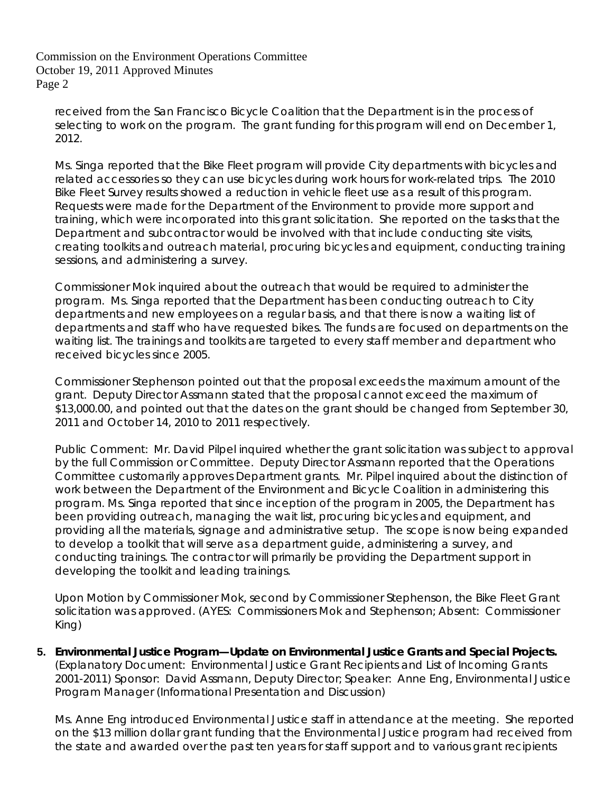received from the San Francisco Bicycle Coalition that the Department is in the process of selecting to work on the program. The grant funding for this program will end on December 1, 2012.

Ms. Singa reported that the Bike Fleet program will provide City departments with bicycles and related accessories so they can use bicycles during work hours for work-related trips. The 2010 Bike Fleet Survey results showed a reduction in vehicle fleet use as a result of this program. Requests were made for the Department of the Environment to provide more support and training, which were incorporated into this grant solicitation. She reported on the tasks that the Department and subcontractor would be involved with that include conducting site visits, creating toolkits and outreach material, procuring bicycles and equipment, conducting training sessions, and administering a survey.

Commissioner Mok inquired about the outreach that would be required to administer the program. Ms. Singa reported that the Department has been conducting outreach to City departments and new employees on a regular basis, and that there is now a waiting list of departments and staff who have requested bikes. The funds are focused on departments on the waiting list. The trainings and toolkits are targeted to every staff member and department who received bicycles since 2005.

Commissioner Stephenson pointed out that the proposal exceeds the maximum amount of the grant. Deputy Director Assmann stated that the proposal cannot exceed the maximum of \$13,000.00, and pointed out that the dates on the grant should be changed from September 30, 2011 and October 14, 2010 to 2011 respectively.

Public Comment: Mr. David Pilpel inquired whether the grant solicitation was subject to approval by the full Commission or Committee. Deputy Director Assmann reported that the Operations Committee customarily approves Department grants. Mr. Pilpel inquired about the distinction of work between the Department of the Environment and Bicycle Coalition in administering this program. Ms. Singa reported that since inception of the program in 2005, the Department has been providing outreach, managing the wait list, procuring bicycles and equipment, and providing all the materials, signage and administrative setup. The scope is now being expanded to develop a toolkit that will serve as a department guide, administering a survey, and conducting trainings. The contractor will primarily be providing the Department support in developing the toolkit and leading trainings.

Upon Motion by Commissioner Mok, second by Commissioner Stephenson, the Bike Fleet Grant solicitation was approved. (AYES: Commissioners Mok and Stephenson; Absent: Commissioner King)

**5. Environmental Justice Program—Update on Environmental Justice Grants and Special Projects.**  (Explanatory Document: Environmental Justice Grant Recipients and List of Incoming Grants 2001-2011) Sponsor: David Assmann, Deputy Director; Speaker: Anne Eng, Environmental Justice Program Manager (Informational Presentation and Discussion)

Ms. Anne Eng introduced Environmental Justice staff in attendance at the meeting. She reported on the \$13 million dollar grant funding that the Environmental Justice program had received from the state and awarded over the past ten years for staff support and to various grant recipients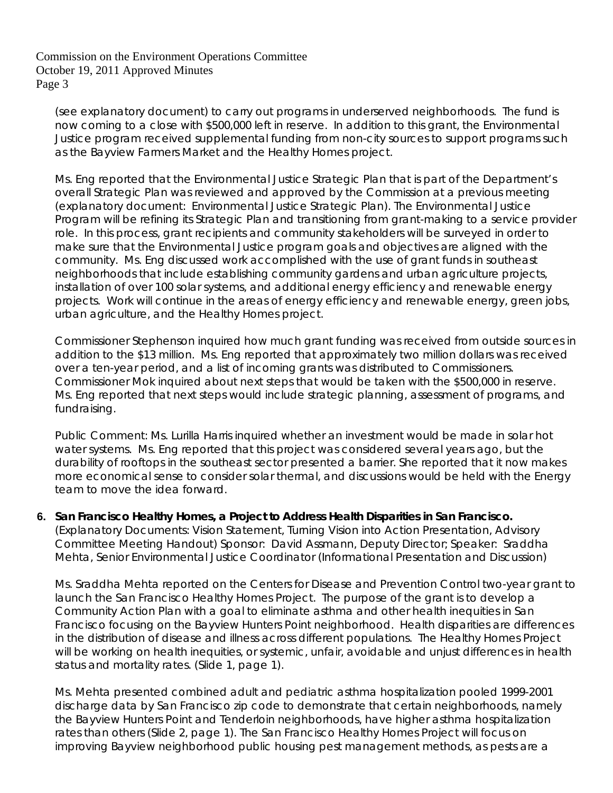(see explanatory document) to carry out programs in underserved neighborhoods. The fund is now coming to a close with \$500,000 left in reserve. In addition to this grant, the Environmental Justice program received supplemental funding from non-city sources to support programs such as the Bayview Farmers Market and the Healthy Homes project.

Ms. Eng reported that the Environmental Justice Strategic Plan that is part of the Department's overall Strategic Plan was reviewed and approved by the Commission at a previous meeting (explanatory document: Environmental Justice Strategic Plan). The Environmental Justice Program will be refining its Strategic Plan and transitioning from grant-making to a service provider role. In this process, grant recipients and community stakeholders will be surveyed in order to make sure that the Environmental Justice program goals and objectives are aligned with the community. Ms. Eng discussed work accomplished with the use of grant funds in southeast neighborhoods that include establishing community gardens and urban agriculture projects, installation of over 100 solar systems, and additional energy efficiency and renewable energy projects. Work will continue in the areas of energy efficiency and renewable energy, green jobs, urban agriculture, and the Healthy Homes project.

Commissioner Stephenson inquired how much grant funding was received from outside sources in addition to the \$13 million. Ms. Eng reported that approximately two million dollars was received over a ten-year period, and a list of incoming grants was distributed to Commissioners. Commissioner Mok inquired about next steps that would be taken with the \$500,000 in reserve. Ms. Eng reported that next steps would include strategic planning, assessment of programs, and fundraising.

Public Comment: Ms. Lurilla Harris inquired whether an investment would be made in solar hot water systems. Ms. Eng reported that this project was considered several years ago, but the durability of rooftops in the southeast sector presented a barrier. She reported that it now makes more economical sense to consider solar thermal, and discussions would be held with the Energy team to move the idea forward.

## **6. San Francisco Healthy Homes, a Project to Address Health Disparities in San Francisco.**

(Explanatory Documents: Vision Statement, Turning Vision into Action Presentation, Advisory Committee Meeting Handout) Sponsor: David Assmann, Deputy Director; Speaker: Sraddha Mehta, Senior Environmental Justice Coordinator (Informational Presentation and Discussion)

Ms. Sraddha Mehta reported on the Centers for Disease and Prevention Control two-year grant to launch the San Francisco Healthy Homes Project. The purpose of the grant is to develop a Community Action Plan with a goal to eliminate asthma and other health inequities in San Francisco focusing on the Bayview Hunters Point neighborhood. Health disparities are differences in the distribution of disease and illness across different populations. The Healthy Homes Project will be working on health inequities, or systemic, unfair, avoidable and unjust differences in health status and mortality rates. (Slide 1, page 1).

Ms. Mehta presented combined adult and pediatric asthma hospitalization pooled 1999-2001 discharge data by San Francisco zip code to demonstrate that certain neighborhoods, namely the Bayview Hunters Point and Tenderloin neighborhoods, have higher asthma hospitalization rates than others (Slide 2, page 1). The San Francisco Healthy Homes Project will focus on improving Bayview neighborhood public housing pest management methods, as pests are a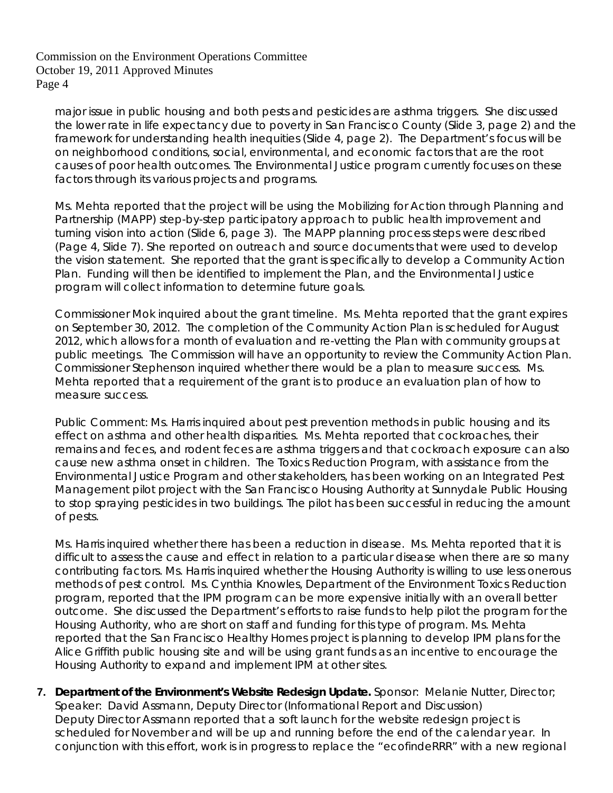major issue in public housing and both pests and pesticides are asthma triggers. She discussed the lower rate in life expectancy due to poverty in San Francisco County (Slide 3, page 2) and the framework for understanding health inequities (Slide 4, page 2). The Department's focus will be on neighborhood conditions, social, environmental, and economic factors that are the root causes of poor health outcomes. The Environmental Justice program currently focuses on these factors through its various projects and programs.

Ms. Mehta reported that the project will be using the Mobilizing for Action through Planning and Partnership (MAPP) step-by-step participatory approach to public health improvement and turning vision into action (Slide 6, page 3). The MAPP planning process steps were described (Page 4, Slide 7). She reported on outreach and source documents that were used to develop the vision statement. She reported that the grant is specifically to develop a Community Action Plan. Funding will then be identified to implement the Plan, and the Environmental Justice program will collect information to determine future goals.

Commissioner Mok inquired about the grant timeline. Ms. Mehta reported that the grant expires on September 30, 2012. The completion of the Community Action Plan is scheduled for August 2012, which allows for a month of evaluation and re-vetting the Plan with community groups at public meetings. The Commission will have an opportunity to review the Community Action Plan. Commissioner Stephenson inquired whether there would be a plan to measure success. Ms. Mehta reported that a requirement of the grant is to produce an evaluation plan of how to measure success.

Public Comment: Ms. Harris inquired about pest prevention methods in public housing and its effect on asthma and other health disparities. Ms. Mehta reported that cockroaches, their remains and feces, and rodent feces are asthma triggers and that cockroach exposure can also cause new asthma onset in children. The Toxics Reduction Program, with assistance from the Environmental Justice Program and other stakeholders, has been working on an Integrated Pest Management pilot project with the San Francisco Housing Authority at Sunnydale Public Housing to stop spraying pesticides in two buildings. The pilot has been successful in reducing the amount of pests.

Ms. Harris inquired whether there has been a reduction in disease. Ms. Mehta reported that it is difficult to assess the cause and effect in relation to a particular disease when there are so many contributing factors. Ms. Harris inquired whether the Housing Authority is willing to use less onerous methods of pest control. Ms. Cynthia Knowles, Department of the Environment Toxics Reduction program, reported that the IPM program can be more expensive initially with an overall better outcome. She discussed the Department's efforts to raise funds to help pilot the program for the Housing Authority, who are short on staff and funding for this type of program. Ms. Mehta reported that the San Francisco Healthy Homes project is planning to develop IPM plans for the Alice Griffith public housing site and will be using grant funds as an incentive to encourage the Housing Authority to expand and implement IPM at other sites.

**7. Department of the Environment's Website Redesign Update.** Sponsor: Melanie Nutter, Director; Speaker: David Assmann, Deputy Director (Informational Report and Discussion) Deputy Director Assmann reported that a soft launch for the website redesign project is scheduled for November and will be up and running before the end of the calendar year. In conjunction with this effort, work is in progress to replace the "ecofindeRRR" with a new regional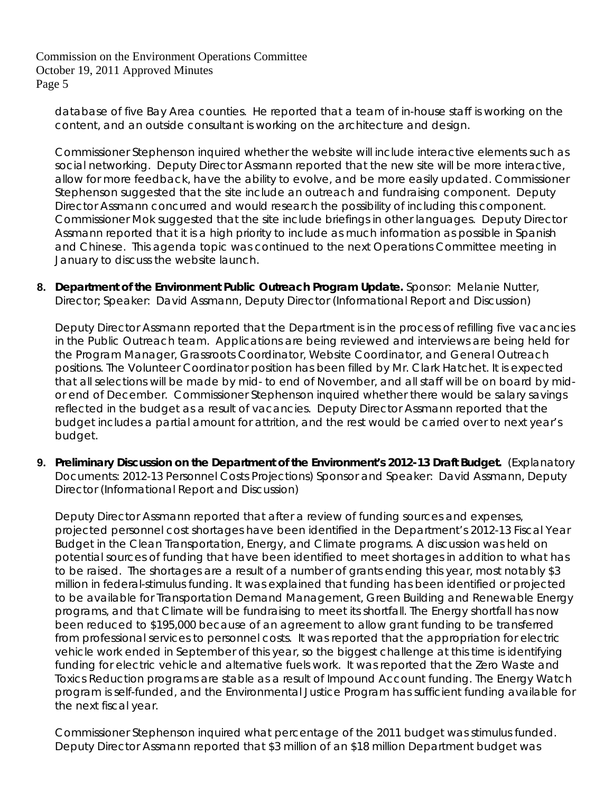database of five Bay Area counties. He reported that a team of in-house staff is working on the content, and an outside consultant is working on the architecture and design.

Commissioner Stephenson inquired whether the website will include interactive elements such as social networking. Deputy Director Assmann reported that the new site will be more interactive, allow for more feedback, have the ability to evolve, and be more easily updated. Commissioner Stephenson suggested that the site include an outreach and fundraising component. Deputy Director Assmann concurred and would research the possibility of including this component. Commissioner Mok suggested that the site include briefings in other languages. Deputy Director Assmann reported that it is a high priority to include as much information as possible in Spanish and Chinese. This agenda topic was continued to the next Operations Committee meeting in January to discuss the website launch.

**8. Department of the Environment Public Outreach Program Update.** Sponsor: Melanie Nutter, Director; Speaker: David Assmann, Deputy Director (Informational Report and Discussion)

Deputy Director Assmann reported that the Department is in the process of refilling five vacancies in the Public Outreach team. Applications are being reviewed and interviews are being held for the Program Manager, Grassroots Coordinator, Website Coordinator, and General Outreach positions. The Volunteer Coordinator position has been filled by Mr. Clark Hatchet. It is expected that all selections will be made by mid- to end of November, and all staff will be on board by midor end of December. Commissioner Stephenson inquired whether there would be salary savings reflected in the budget as a result of vacancies. Deputy Director Assmann reported that the budget includes a partial amount for attrition, and the rest would be carried over to next year's budget.

**9. Preliminary Discussion on the Department of the Environment's 2012-13 Draft Budget.** (Explanatory Documents: 2012-13 Personnel Costs Projections) Sponsor and Speaker: David Assmann, Deputy Director (Informational Report and Discussion)

Deputy Director Assmann reported that after a review of funding sources and expenses, projected personnel cost shortages have been identified in the Department's 2012-13 Fiscal Year Budget in the Clean Transportation, Energy, and Climate programs. A discussion was held on potential sources of funding that have been identified to meet shortages in addition to what has to be raised. The shortages are a result of a number of grants ending this year, most notably \$3 million in federal-stimulus funding. It was explained that funding has been identified or projected to be available for Transportation Demand Management, Green Building and Renewable Energy programs, and that Climate will be fundraising to meet its shortfall. The Energy shortfall has now been reduced to \$195,000 because of an agreement to allow grant funding to be transferred from professional services to personnel costs. It was reported that the appropriation for electric vehicle work ended in September of this year, so the biggest challenge at this time is identifying funding for electric vehicle and alternative fuels work. It was reported that the Zero Waste and Toxics Reduction programs are stable as a result of Impound Account funding. The Energy Watch program is self-funded, and the Environmental Justice Program has sufficient funding available for the next fiscal year.

Commissioner Stephenson inquired what percentage of the 2011 budget was stimulus funded. Deputy Director Assmann reported that \$3 million of an \$18 million Department budget was